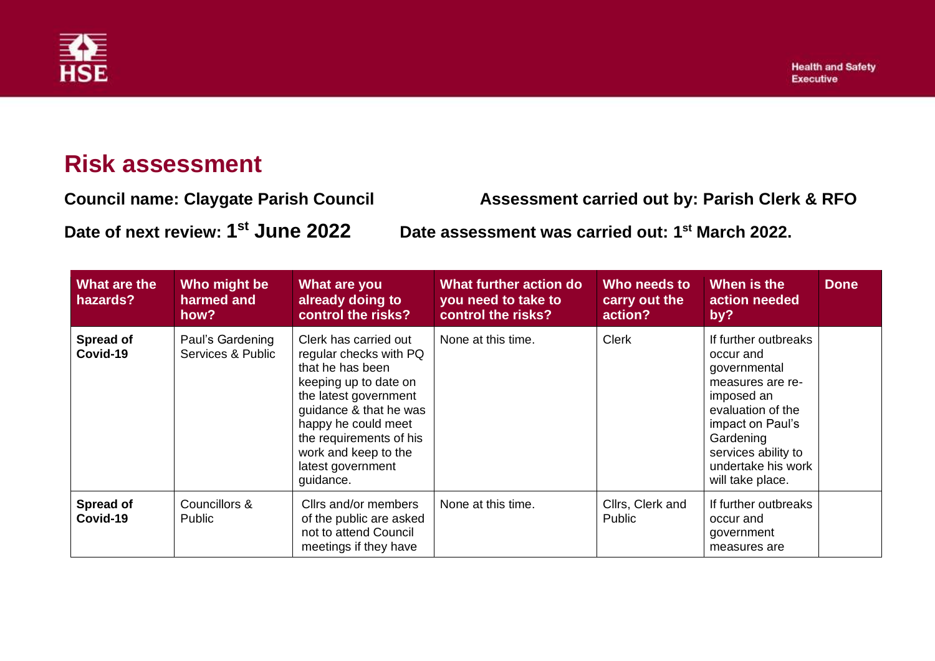

## **Risk assessment**

**Council name: Claygate Parish Council Assessment carried out by: Parish Clerk & RFO Date of next review: 1 st June 2022 Date assessment was carried out: 1 st March 2022.**

| What are the<br>hazards? | Who might be<br>harmed and<br>how?    | What are you<br>already doing to<br>control the risks?                                                                                                                                                                                                      | What further action do<br>you need to take to<br>control the risks? | Who needs to<br>carry out the<br>action? | When is the<br>action needed<br>by?                                                                                                                                                                        | <b>Done</b> |
|--------------------------|---------------------------------------|-------------------------------------------------------------------------------------------------------------------------------------------------------------------------------------------------------------------------------------------------------------|---------------------------------------------------------------------|------------------------------------------|------------------------------------------------------------------------------------------------------------------------------------------------------------------------------------------------------------|-------------|
| Spread of<br>Covid-19    | Paul's Gardening<br>Services & Public | Clerk has carried out<br>regular checks with PQ<br>that he has been<br>keeping up to date on<br>the latest government<br>guidance & that he was<br>happy he could meet<br>the requirements of his<br>work and keep to the<br>latest government<br>guidance. | None at this time.                                                  | <b>Clerk</b>                             | If further outbreaks<br>occur and<br>governmental<br>measures are re-<br>imposed an<br>evaluation of the<br>impact on Paul's<br>Gardening<br>services ability to<br>undertake his work<br>will take place. |             |
| Spread of<br>Covid-19    | Councillors &<br><b>Public</b>        | Cllrs and/or members<br>of the public are asked<br>not to attend Council<br>meetings if they have                                                                                                                                                           | None at this time.                                                  | Cllrs, Clerk and<br><b>Public</b>        | If further outbreaks<br>occur and<br>government<br>measures are                                                                                                                                            |             |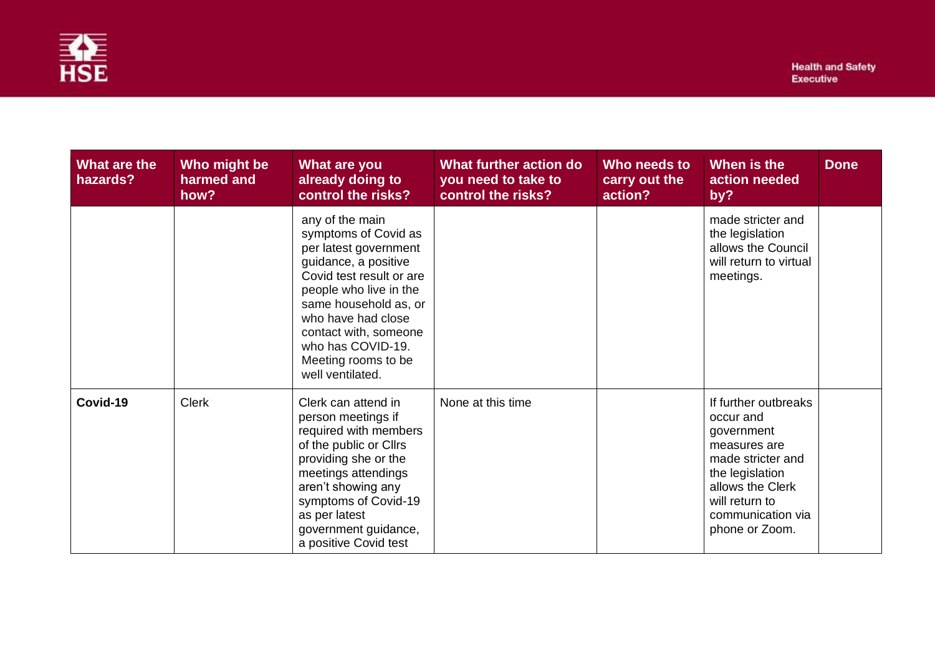

| <b>What are the</b><br>hazards? | Who might be<br>harmed and<br>how? | What are you<br>already doing to<br>control the risks?                                                                                                                                                                                                                                 | What further action do<br>you need to take to<br>control the risks? | Who needs to<br>carry out the<br>action? | When is the<br>action needed<br>by?                                                                                                                                                  | <b>Done</b> |
|---------------------------------|------------------------------------|----------------------------------------------------------------------------------------------------------------------------------------------------------------------------------------------------------------------------------------------------------------------------------------|---------------------------------------------------------------------|------------------------------------------|--------------------------------------------------------------------------------------------------------------------------------------------------------------------------------------|-------------|
|                                 |                                    | any of the main<br>symptoms of Covid as<br>per latest government<br>guidance, a positive<br>Covid test result or are<br>people who live in the<br>same household as, or<br>who have had close<br>contact with, someone<br>who has COVID-19.<br>Meeting rooms to be<br>well ventilated. |                                                                     |                                          | made stricter and<br>the legislation<br>allows the Council<br>will return to virtual<br>meetings.                                                                                    |             |
| Covid-19                        | <b>Clerk</b>                       | Clerk can attend in<br>person meetings if<br>required with members<br>of the public or Cllrs<br>providing she or the<br>meetings attendings<br>aren't showing any<br>symptoms of Covid-19<br>as per latest<br>government guidance,<br>a positive Covid test                            | None at this time                                                   |                                          | If further outbreaks<br>occur and<br>government<br>measures are<br>made stricter and<br>the legislation<br>allows the Clerk<br>will return to<br>communication via<br>phone or Zoom. |             |